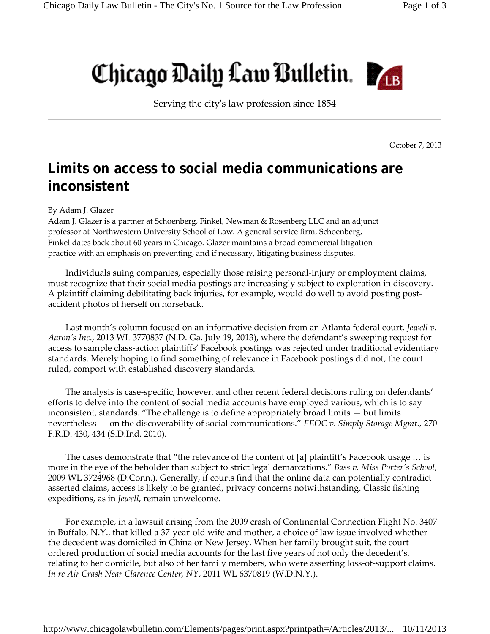## Chicago Daily Law Bulletin.

Serving the cityʹs law profession since 1854

October 7, 2013

## **Limits on access to social media communications are inconsistent**

## By Adam J. Glazer

Adam J. Glazer is a partner at Schoenberg, Finkel, Newman & Rosenberg LLC and an adjunct professor at Northwestern University School of Law. A general service firm, Schoenberg, Finkel dates back about 60 years in Chicago. Glazer maintains a broad commercial litigation practice with an emphasis on preventing, and if necessary, litigating business disputes.

Individuals suing companies, especially those raising personal‐injury or employment claims, must recognize that their social media postings are increasingly subject to exploration in discovery. A plaintiff claiming debilitating back injuries, for example, would do well to avoid posting post‐ accident photos of herself on horseback.

Last month's column focused on an informative decision from an Atlanta federal court, *Jewell v. Aaron's Inc.*, 2013 WL 3770837 (N.D. Ga. July 19, 2013), where the defendant's sweeping request for access to sample class‐action plaintiffs' Facebook postings was rejected under traditional evidentiary standards. Merely hoping to find something of relevance in Facebook postings did not, the court ruled, comport with established discovery standards.

The analysis is case-specific, however, and other recent federal decisions ruling on defendants' efforts to delve into the content of social media accounts have employed various, which is to say inconsistent, standards. "The challenge is to define appropriately broad limits — but limits nevertheless — on the discoverability of social communications." *EEOC v. Simply Storage Mgmt.*, 270 F.R.D. 430, 434 (S.D.Ind. 2010).

The cases demonstrate that "the relevance of the content of [a] plaintiff's Facebook usage … is more in the eye of the beholder than subject to strict legal demarcations." *Bass v. Miss Porter's School*, 2009 WL 3724968 (D.Conn.). Generally, if courts find that the online data can potentially contradict asserted claims, access is likely to be granted, privacy concerns notwithstanding. Classic fishing expeditions, as in *Jewell*, remain unwelcome.

For example, in a lawsuit arising from the 2009 crash of Continental Connection Flight No. 3407 in Buffalo, N.Y., that killed a 37‐year‐old wife and mother, a choice of law issue involved whether the decedent was domiciled in China or New Jersey. When her family brought suit, the court ordered production of social media accounts for the last five years of not only the decedent's, relating to her domicile, but also of her family members, who were asserting loss-of-support claims. *In re Air Crash Near Clarence Center, NY*, 2011 WL 6370819 (W.D.N.Y.).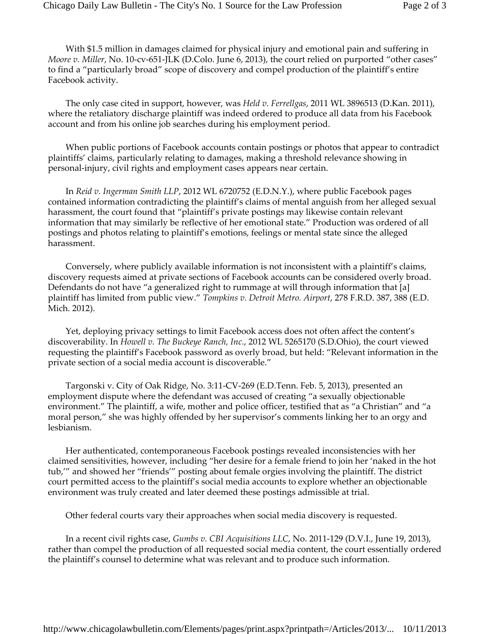With \$1.5 million in damages claimed for physical injury and emotional pain and suffering in *Moore v. Miller*, No. 10‐cv‐651‐JLK (D.Colo. June 6, 2013), the court relied on purported "other cases" to find a "particularly broad" scope of discovery and compel production of the plaintiff's entire Facebook activity.

The only case cited in support, however, was *Held v. Ferrellgas*, 2011 WL 3896513 (D.Kan. 2011), where the retaliatory discharge plaintiff was indeed ordered to produce all data from his Facebook account and from his online job searches during his employment period.

When public portions of Facebook accounts contain postings or photos that appear to contradict plaintiffs' claims, particularly relating to damages, making a threshold relevance showing in personal‐injury, civil rights and employment cases appears near certain.

In *Reid v. Ingerman Smith LLP*, 2012 WL 6720752 (E.D.N.Y.), where public Facebook pages contained information contradicting the plaintiff's claims of mental anguish from her alleged sexual harassment, the court found that "plaintiff's private postings may likewise contain relevant information that may similarly be reflective of her emotional state." Production was ordered of all postings and photos relating to plaintiff's emotions, feelings or mental state since the alleged harassment.

Conversely, where publicly available information is not inconsistent with a plaintiff's claims, discovery requests aimed at private sections of Facebook accounts can be considered overly broad. Defendants do not have "a generalized right to rummage at will through information that [a] plaintiff has limited from public view." *Tompkins v. Detroit Metro. Airport*, 278 F.R.D. 387, 388 (E.D. Mich. 2012).

Yet, deploying privacy settings to limit Facebook access does not often affect the content's discoverability. In *Howell v. The Buckeye Ranch, Inc.*, 2012 WL 5265170 (S.D.Ohio), the court viewed requesting the plaintiff's Facebook password as overly broad, but held: "Relevant information in the private section of a social media account is discoverable."

Targonski v. City of Oak Ridge, No. 3:11‐CV‐269 (E.D.Tenn. Feb. 5, 2013), presented an employment dispute where the defendant was accused of creating "a sexually objectionable environment." The plaintiff, a wife, mother and police officer, testified that as "a Christian" and "a moral person," she was highly offended by her supervisor's comments linking her to an orgy and lesbianism.

Her authenticated, contemporaneous Facebook postings revealed inconsistencies with her claimed sensitivities, however, including "her desire for a female friend to join her 'naked in the hot tub,'" and showed her "friends'" posting about female orgies involving the plaintiff. The district court permitted access to the plaintiff's social media accounts to explore whether an objectionable environment was truly created and later deemed these postings admissible at trial.

Other federal courts vary their approaches when social media discovery is requested.

In a recent civil rights case, *Gumbs v. CBI Acquisitions LLC*, No. 2011‐129 (D.V.I., June 19, 2013), rather than compel the production of all requested social media content, the court essentially ordered the plaintiff's counsel to determine what was relevant and to produce such information.